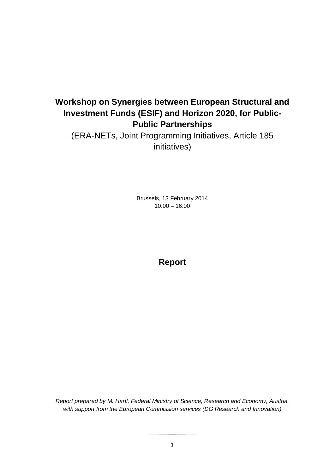# **Workshop on Synergies between European Structural and Investment Funds (ESIF) and Horizon 2020, for Public-Public Partnerships**

(ERA-NETs, Joint Programming Initiatives, Article 185 initiatives)

> Brussels, 13 February 2014 10:00 – 16:00

> > **Report**

*Report prepared by M. Hartl, Federal Ministry of Science, Research and Economy, Austria, with support from the European Commission services (DG Research and Innovation)*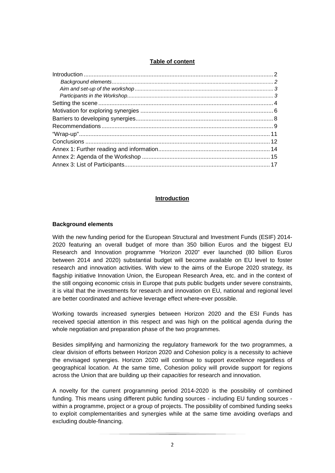#### **Table of content**

#### **Introduction**

#### **Background elements**

With the new funding period for the European Structural and Investment Funds (ESIF) 2014- 2020 featuring an overall budget of more than 350 billion Euros and the biggest EU Research and Innovation programme "Horizon 2020" ever launched (80 billion Euros between 2014 and 2020) substantial budget will become available on EU level to foster research and innovation activities. With view to the aims of the Europe 2020 strategy, its flagship initiative Innovation Union, the European Research Area, etc. and in the context of the still ongoing economic crisis in Europe that puts public budgets under severe constraints, it is vital that the investments for research and innovation on EU, national and regional level are better coordinated and achieve leverage effect where-ever possible.

Working towards increased synergies between Horizon 2020 and the ESI Funds has received special attention in this respect and was high on the political agenda during the whole negotiation and preparation phase of the two programmes.

Besides simplifying and harmonizing the regulatory framework for the two programmes, a clear division of efforts between Horizon 2020 and Cohesion policy is a necessity to achieve the envisaged synergies. Horizon 2020 will continue to support *excellence* regardless of geographical location. At the same time, Cohesion policy will provide support for regions across the Union that are building up their *capacities* for research and innovation.

A novelty for the current programming period 2014-2020 is the possibility of combined funding. This means using different public funding sources - including EU funding sources within a programme, project or a group of projects. The possibility of combined funding seeks to exploit complementarities and synergies while at the same time avoiding overlaps and excluding double-financing.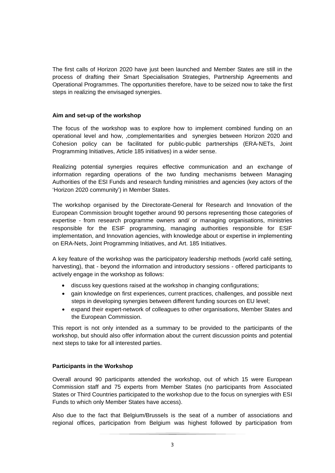The first calls of Horizon 2020 have just been launched and Member States are still in the process of drafting their Smart Specialisation Strategies, Partnership Agreements and Operational Programmes. The opportunities therefore, have to be seized now to take the first steps in realizing the envisaged synergies.

# **Aim and set-up of the workshop**

The focus of the workshop was to explore how to implement combined funding on an operational level and how, ,complementarities and synergies between Horizon 2020 and Cohesion policy can be facilitated for public-public partnerships (ERA-NETs, Joint Programming Initiatives, Article 185 initiatives) in a wider sense.

Realizing potential synergies requires effective communication and an exchange of information regarding operations of the two funding mechanisms between Managing Authorities of the ESI Funds and research funding ministries and agencies (key actors of the 'Horizon 2020 community') in Member States.

The workshop organised by the Directorate-General for Research and Innovation of the European Commission brought together around 90 persons representing those categories of expertise - from research programme owners and/ or managing organisations, ministries responsible for the ESIF programming, managing authorities responsible for ESIF implementation, and Innovation agencies, with knowledge about or expertise in implementing on ERA-Nets, Joint Programming Initiatives, and Art. 185 Initiatives.

A key feature of the workshop was the participatory leadership methods (world café setting, harvesting), that - beyond the information and introductory sessions - offered participants to actively engage in the workshop as follows:

- discuss key questions raised at the workshop in changing configurations;
- gain knowledge on first experiences, current practices, challenges, and possible next steps in developing synergies between different funding sources on EU level;
- expand their expert-network of colleagues to other organisations, Member States and the European Commission.

This report is not only intended as a summary to be provided to the participants of the workshop, but should also offer information about the current discussion points and potential next steps to take for all interested parties.

# **Participants in the Workshop**

Overall around 90 participants attended the workshop, out of which 15 were European Commission staff and 75 experts from Member States (no participants from Associated States or Third Countries participated to the workshop due to the focus on synergies with ESI Funds to which only Member States have access).

Also due to the fact that Belgium/Brussels is the seat of a number of associations and regional offices, participation from Belgium was highest followed by participation from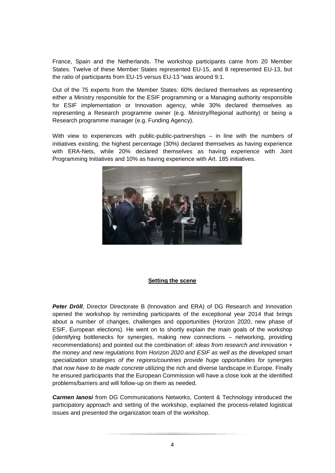France, Spain and the Netherlands. The workshop participants came from 20 Member States. Twelve of these Member States represented EU-15, and 8 represented EU-13, but the ratio of participants from EU-15 versus EU-13 "was around 9:1.

Out of the 75 experts from the Member States: 60% declared themselves as representing either a Ministry responsible for the ESIF programming or a Managing authority responsible for ESIF implementation or Innovation agency, while 30% declared themselves as representing a Research programme owner (e.g. Ministry/Regional authority) or being a Research programme manager (e.g. Funding Agency).

With view to experiences with public-public-partnerships – in line with the numbers of initiatives existing, the highest percentage (30%) declared themselves as having experience with ERA-Nets, while 20% declared themselves as having experience with Joint Programming Initiatives and 10% as having experience with Art. 185 initiatives.



#### **Setting the scene**

**Peter Dröll**, Director Directorate B (Innovation and ERA) of DG Research and Innovation opened the workshop by reminding participants of the exceptional year 2014 that brings about a number of changes, challenges and opportunities (Horizon 2020, new phase of ESIF, European elections). He went on to shortly explain the main goals of the workshop (identifying bottlenecks for synergies, making new connections – networking, providing recommendations) and pointed out the combination of: *ideas from research and innovation + the money and new regulations from Horizon 2020 and ESIF as well as the developed smart specialization strategies of the regions/countries provide huge opportunities for synergies that now have to be made concrete* utilizing the rich and diverse landscape in Europe. Finally he ensured participants that the European Commission will have a close look at the identified problems/barriers and will follow-up on them as needed.

*Carmen Ianosi* from DG Communications Networks, Content & Technology introduced the participatory approach and setting of the workshop, explained the process-related logistical issues and presented the organization team of the workshop.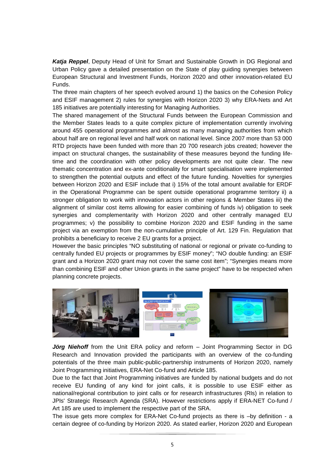*Katja Reppel*, Deputy Head of Unit for Smart and Sustainable Growth in DG Regional and Urban Policy gave a detailed presentation on the State of play guiding synergies between European Structural and Investment Funds, Horizon 2020 and other innovation-related EU Funds.

The three main chapters of her speech evolved around 1) the basics on the Cohesion Policy and ESIF management 2) rules for synergies with Horizon 2020 3) why ERA-Nets and Art 185 initiatives are potentially interesting for Managing Authorities.

The shared management of the Structural Funds between the European Commission and the Member States leads to a quite complex picture of implementation currently involving around 455 operational programmes and almost as many managing authorities from which about half are on regional level and half work on national level. Since 2007 more than 53 000 RTD projects have been funded with more than 20 700 research jobs created; however the impact on structural changes, the sustainability of these measures beyond the funding lifetime and the coordination with other policy developments are not quite clear. The new thematic concentration and ex-ante conditionality for smart specialisation were implemented to strengthen the potential outputs and effect of the future funding. Novelties for synergies between Horizon 2020 and ESIF include that i) 15% of the total amount available for ERDF in the Operational Programme can be spent outside operational programme territory ii) a stronger obligation to work with innovation actors in other regions & Member States iii) the alignment of similar cost items allowing for easier combining of funds iv) obligation to seek synergies and complementarity with Horizon 2020 and other centrally managed EU programmes; v) the possibility to combine Horizon 2020 and ESIF funding in the same project via an exemption from the non-cumulative principle of Art. 129 Fin. Regulation that prohibits a beneficiary to receive 2 EU grants for a project.

However the basic principles "NO substituting of national or regional or private co-funding to centrally funded EU projects or programmes by ESIF money"; "NO double funding: an ESIF grant and a Horizon 2020 grant may not cover the same cost item"; "Synergies means more than combining ESIF and other Union grants in the same project" have to be respected when planning concrete projects.



Jörg Niehoff from the Unit ERA policy and reform - Joint Programming Sector in DG Research and Innovation provided the participants with an overview of the co-funding potentials of the three main public-public-partnership instruments of Horizon 2020, namely Joint Programming initiatives, ERA-Net Co-fund and Article 185.

Due to the fact that Joint Programming initiatives are funded by national budgets and do not receive EU funding of any kind for joint calls, it is possible to use ESIF either as national/regional contribution to joint calls or for research infrastructures (RIs) in relation to JPIs' Strategic Research Agenda (SRA). However restrictions apply if ERA-NET Co-fund / Art 185 are used to implement the respective part of the SRA.

The issue gets more complex for ERA-Net Co-fund projects as there is –by definition - a certain degree of co-funding by Horizon 2020. As stated earlier, Horizon 2020 and European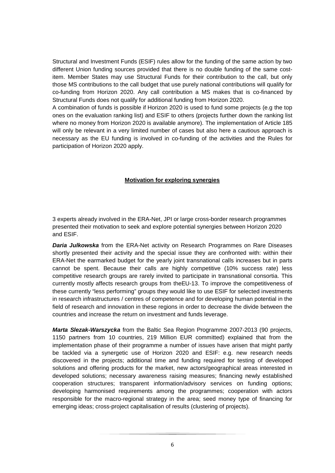Structural and Investment Funds (ESIF) rules allow for the funding of the same action by two different Union funding sources provided that there is no double funding of the same costitem. Member States may use Structural Funds for their contribution to the call, but only those MS contributions to the call budget that use purely national contributions will qualify for co-funding from Horizon 2020. Any call contribution a MS makes that is co-financed by Structural Funds does not qualify for additional funding from Horizon 2020.

A combination of funds is possible if Horizon 2020 is used to fund some projects (e.g the top ones on the evaluation ranking list) and ESIF to others (projects further down the ranking list where no money from Horizon 2020 is available anymore). The implementation of Article 185 will only be relevant in a very limited number of cases but also here a cautious approach is necessary as the EU funding is involved in co-funding of the activities and the Rules for participation of Horizon 2020 apply.

# **Motivation for exploring synergies**

3 experts already involved in the ERA-Net, JPI or large cross-border research programmes presented their motivation to seek and explore potential synergies between Horizon 2020 and ESIF.

*Daria Julkowska* from the ERA-Net activity on Research Programmes on Rare Diseases shortly presented their activity and the special issue they are confronted with: within their ERA-Net the earmarked budget for the yearly joint transnational calls increases but in parts cannot be spent. Because their calls are highly competitive (10% success rate) less competitive research groups are rarely invited to participate in transnational consortia. This currently mostly affects research groups from theEU-13. To improve the competitiveness of these currently "less performing" groups they would like to use ESIF for selected investments in research infrastructures / centres of competence and for developing human potential in the field of research and innovation in these regions in order to decrease the divide between the countries and increase the return on investment and funds leverage.

*Marta Slezak-Warszycka* from the Baltic Sea Region Programme 2007-2013 (90 projects, 1150 partners from 10 countries, 219 Million EUR committed) explained that from the implementation phase of their programme a number of issues have arisen that might partly be tackled via a synergetic use of Horizon 2020 and ESIF: e.g. new research needs discovered in the projects; additional time and funding required for testing of developed solutions and offering products for the market, new actors/geographical areas interested in developed solutions; necessary awareness raising measures; financing newly established cooperation structures; transparent information/advisory services on funding options; developing harmonised requirements among the programmes; cooperation with actors responsible for the macro-regional strategy in the area; seed money type of financing for emerging ideas; cross-project capitalisation of results (clustering of projects).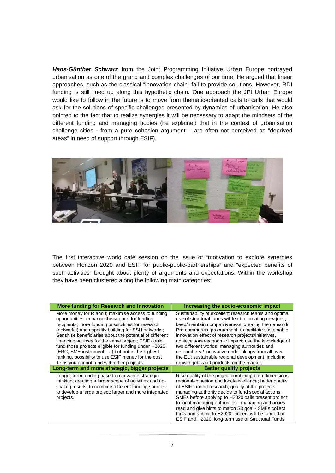*Hans-Günther Schwarz* from the Joint Programming Initiative Urban Europe portrayed urbanisation as one of the grand and complex challenges of our time. He argued that linear approaches, such as the classical "innovation chain" fail to provide solutions. However, RDI funding is still lined up along this hypothetic chain. One approach the JPI Urban Europe would like to follow in the future is to move from thematic-oriented calls to calls that would ask for the solutions of specific challenges presented by dynamics of urbanisation. He also pointed to the fact that to realize synergies it will be necessary to adapt the mindsets of the different funding and managing bodies (he explained that in the context of urbanisation challenge cities - from a pure cohesion argument – are often not perceived as "deprived areas" in need of support through ESIF).



The first interactive world café session on the issue of "motivation to explore synergies between Horizon 2020 and ESIF for public-public-partnerships" and "expected benefits of such activities" brought about plenty of arguments and expectations. Within the workshop they have been clustered along the following main categories:

| More funding for Research and Innovation                                                                                                                                                                                                                                                                                                                                                                                                                                                                                                           | Increasing the socio-economic impact                                                                                                                                                                                                                                                                                                                                                                                                                                                                                                                        |
|----------------------------------------------------------------------------------------------------------------------------------------------------------------------------------------------------------------------------------------------------------------------------------------------------------------------------------------------------------------------------------------------------------------------------------------------------------------------------------------------------------------------------------------------------|-------------------------------------------------------------------------------------------------------------------------------------------------------------------------------------------------------------------------------------------------------------------------------------------------------------------------------------------------------------------------------------------------------------------------------------------------------------------------------------------------------------------------------------------------------------|
| More money for R and I; maximise access to funding<br>opportunities; enhance the support for funding<br>recipients; more funding possibilities for research<br>(networks) and capacity building for SSH networks;<br>Sensitise beneficiaries about the potential of different<br>financing sources for the same project; ESIF could<br>fund those projects eligible for funding under H2020<br>(ERC, SME instrument, ) but not in the highest<br>ranking, possibility to use ESIF money for the cost<br>items you cannot fund with other projects. | Sustainability of excellent research teams and optimal<br>use of structural funds will lead to creating new jobs:<br>keep/maintain competitiveness: creating the demand/<br>Pre-commercial procurement; to facilitate sustainable<br>innovation effect of research projects/initiatives,<br>achieve socio-economic impact; use the knowledge of<br>two different worlds: managing authorities and<br>researchers / innovative undertakings from all over<br>the EU; sustainable regional development, including<br>growth, jobs and products on the market. |
| Long-term and more strategic, bigger projects                                                                                                                                                                                                                                                                                                                                                                                                                                                                                                      | <b>Better quality projects</b>                                                                                                                                                                                                                                                                                                                                                                                                                                                                                                                              |
| Longer-term funding based on advance strategic<br>thinking; creating a larger scope of activities and up-<br>scaling results; to combine different funding sources<br>to develop a large project; larger and more integrated<br>projects.                                                                                                                                                                                                                                                                                                          | Rise quality of the project combining both dimensions:<br>regional/cohesion and local/excellence; better quality<br>of ESIF funded research; quality of the projects:<br>managing authority decide to fund special actions;<br>SMEs before applying to H2020 calls present project<br>to local managing authorities - managing authorities<br>read and give hints to match S3 goal - SMEs collect<br>hints and submit to H2020 -project will be funded on<br>ESIF and H2020; long-term use of Structural Funds                                              |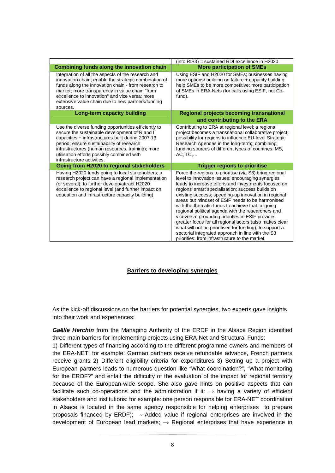|                                                                                                                                                                                                                                                                                                                                          | (into RIS3) = sustained RDI excellence in H2020.                                                                                                                                                                                                                                                                                                                                                                                                                                                                                                                                                                                                                                                                                  |
|------------------------------------------------------------------------------------------------------------------------------------------------------------------------------------------------------------------------------------------------------------------------------------------------------------------------------------------|-----------------------------------------------------------------------------------------------------------------------------------------------------------------------------------------------------------------------------------------------------------------------------------------------------------------------------------------------------------------------------------------------------------------------------------------------------------------------------------------------------------------------------------------------------------------------------------------------------------------------------------------------------------------------------------------------------------------------------------|
| Combining funds along the innovation chain                                                                                                                                                                                                                                                                                               | <b>More participation of SMEs</b>                                                                                                                                                                                                                                                                                                                                                                                                                                                                                                                                                                                                                                                                                                 |
| Integration of all the aspects of the research and<br>innovation chain; enable the strategic combination of<br>funds along the innovation chain - from research to<br>market; more transparency in value chain "from<br>excellence to innovation" and vice versa; more<br>extensive value chain due to new partners/funding<br>sources.  | Using ESIF and H2020 for SMEs; businesses having<br>more options/ building on failure + capacity building;<br>help SMEs to be more competitive; more participation<br>of SMEs in ERA-Nets (for calls using ESIF, not Co-<br>fund).                                                                                                                                                                                                                                                                                                                                                                                                                                                                                                |
| Long-term capacity building                                                                                                                                                                                                                                                                                                              | <b>Regional projects becoming transnational</b><br>and contributing to the ERA                                                                                                                                                                                                                                                                                                                                                                                                                                                                                                                                                                                                                                                    |
| Use the diverse funding opportunities efficiently to<br>secure the sustainable development of R and I<br>capacities + infrastructures built during 2007-13<br>period; ensure sustainability of research<br>infrastructures (human resources, training); more<br>utilisation efforts possibly combined with<br>infrastructure activities. | Contributing to ERA at regional level; a regional<br>project becomes a transnational collaborative project;<br>possibility for regions to influence EU-level Strategic<br>Research Agendas in the long-term;; combining<br>funding sources of different types of countries: MS,<br>AC, TC                                                                                                                                                                                                                                                                                                                                                                                                                                         |
| Going from H2020 to regional stakeholders                                                                                                                                                                                                                                                                                                | <b>Trigger regions to prioritise</b>                                                                                                                                                                                                                                                                                                                                                                                                                                                                                                                                                                                                                                                                                              |
| Having H2020 funds going to local stakeholders; a<br>research project can have a regional implementation<br>(or several); to further develop/attract H2020<br>excellence to regional level (and further impact on<br>education and infrastructure capacity building)                                                                     | Force the regions to prioritise (via S3); bring regional<br>level to innovation issues; encouraging synergies<br>leads to increase efforts and investments focused on<br>regions' smart specialisation; success builds on<br>existing success; speeding-up innovation in regional<br>areas but mindset of ESIF needs to be harmonised<br>with the thematic funds to achieve that; aligning<br>regional political agenda with the researchers and<br>viceversa; grounding priorities in ESIF provides<br>greater focus for all regional actors (also makes clear<br>what will not be prioritised for funding); to support a<br>sectorial integrated approach in line with the S3<br>priorities: from infrastructure to the market. |

#### **Barriers to developing synergies**

As the kick-off discussions on the barriers for potential synergies, two experts gave insights into their work and experiences:

*Gaëlle Herchin* from the Managing Authority of the ERDF in the Alsace Region identified three main barriers for implementing projects using ERA-Net and Structural Funds:

1) Different types of financing according to the different programme owners and members of the ERA-NET; for example: German partners receive refundable advance, French partners receive grants 2) Different eligibility criteria for expenditures 3) Setting up a project with European partners leads to numerous question like "What coordination?", "What monitoring for the ERDF?" and entail the difficulty of the evaluation of the impact for regional territory because of the European-wide scope. She also gave hints on positive aspects that can facilitate such co-operations and the administration if it:  $\rightarrow$  having a variety of efficient stakeholders and institutions: for example: one person responsible for ERA-NET coordination in Alsace is located in the same agency responsible for helping enterprises to prepare proposals financed by ERDF);  $\rightarrow$  Added value if regional enterprises are involved in the development of European lead markets;  $\rightarrow$  Regional enterprises that have experience in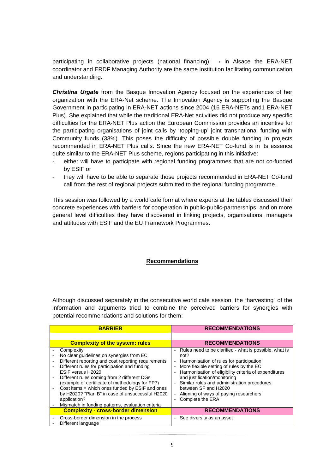participating in collaborative projects (national financing);  $\rightarrow$  in Alsace the ERA-NET coordinator and ERDF Managing Authority are the same institution facilitating communication and understanding.

*Christina Urgate* from the Basque Innovation Agency focused on the experiences of her organization with the ERA-Net scheme. The Innovation Agency is supporting the Basque Government in participating in ERA-NET actions since 2004 (16 ERA-NETs and1 ERA-NET Plus). She explained that while the traditional ERA-Net activities did not produce any specific difficulties for the ERA-NET Plus action the European Commission provides an incentive for the participating organisations of joint calls by 'topping-up' joint transnational funding with Community funds (33%). This poses the difficulty of possible double funding in projects recommended in ERA-NET Plus calls. Since the new ERA-NET Co-fund is in its essence quite similar to the ERA-NET Plus scheme, regions participating in this initiative:

- either will have to participate with regional funding programmes that are not co-funded by ESIF or
- they will have to be able to separate those projects recommended in ERA-NET Co-fund call from the rest of regional projects submitted to the regional funding programme.

This session was followed by a world café format where experts at the tables discussed their concrete experiences with barriers for cooperation in public-public-partnerships and on more general level difficulties they have discovered in linking projects, organisations, managers and attitudes with ESIF and the EU Framework Programmes.

#### **Recommendations**

Although discussed separately in the consecutive world café session, the "harvesting" of the information and arguments tried to combine the perceived barriers for synergies with potential recommendations and solutions for them:

| <b>BARRIER</b>                                                                                                                                                                                                                                                                                                                                                                                                                                                    | <b>RECOMMENDATIONS</b>                                                                                                                                                                                                                                                                                                                                                                                                                                                   |
|-------------------------------------------------------------------------------------------------------------------------------------------------------------------------------------------------------------------------------------------------------------------------------------------------------------------------------------------------------------------------------------------------------------------------------------------------------------------|--------------------------------------------------------------------------------------------------------------------------------------------------------------------------------------------------------------------------------------------------------------------------------------------------------------------------------------------------------------------------------------------------------------------------------------------------------------------------|
| <b>Complexity of the system: rules</b>                                                                                                                                                                                                                                                                                                                                                                                                                            | <b>RECOMMENDATIONS</b>                                                                                                                                                                                                                                                                                                                                                                                                                                                   |
| Complexity<br>No clear guidelines on synergies from EC<br>Different reporting and cost reporting requirements<br>Different rules for participation and funding<br>ESIF versus H2020<br>Different rules coming from 2 different DGs<br>(example of certificate of methodology for FP7)<br>Cost items = which ones funded by ESIF and ones<br>by H2020? "Plan B" in case of unsuccessful H2020<br>application?<br>Mismatch in funding patterns, evaluation criteria | Rules need to be clarified - what is possible, what is<br>$\overline{\phantom{a}}$<br>not?<br>Harmonisation of rules for participation<br>$\overline{\phantom{a}}$<br>More flexible setting of rules by the EC<br>Harmonisation of eligibility criteria of expenditures<br>and justification/monitoring<br>Similar rules and administration procedures<br>$\overline{\phantom{a}}$<br>between SF and H2020<br>Aligning of ways of paying researchers<br>Complete the ERA |
| <b>Complexity - cross-border dimension</b>                                                                                                                                                                                                                                                                                                                                                                                                                        | <b>RECOMMENDATIONS</b>                                                                                                                                                                                                                                                                                                                                                                                                                                                   |
| Cross-border dimension in the process<br>Different language                                                                                                                                                                                                                                                                                                                                                                                                       | See diversity as an asset<br>$\overline{\phantom{a}}$                                                                                                                                                                                                                                                                                                                                                                                                                    |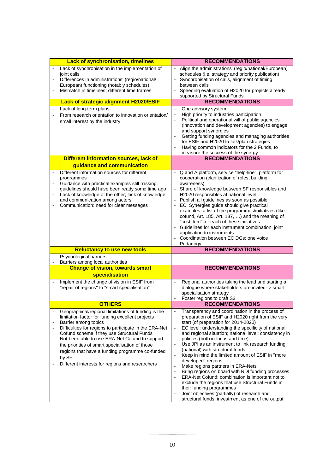| <b>Lack of synchronisation, timelines</b>                                                                                                                                                                                                                                                                                                                                                                                                                                                                                                  | <b>RECOMMENDATIONS</b>                                                                                                                                                                                                                                                                                                                                                                                                                                                                                                                                                                                                                                                                                                                                                                                                                                                                                                                            |
|--------------------------------------------------------------------------------------------------------------------------------------------------------------------------------------------------------------------------------------------------------------------------------------------------------------------------------------------------------------------------------------------------------------------------------------------------------------------------------------------------------------------------------------------|---------------------------------------------------------------------------------------------------------------------------------------------------------------------------------------------------------------------------------------------------------------------------------------------------------------------------------------------------------------------------------------------------------------------------------------------------------------------------------------------------------------------------------------------------------------------------------------------------------------------------------------------------------------------------------------------------------------------------------------------------------------------------------------------------------------------------------------------------------------------------------------------------------------------------------------------------|
| Lack of synchronisation in the implementation of<br>joint calls<br>Differences in administrations' (regio/national/<br>European) functioning (notably schedules)                                                                                                                                                                                                                                                                                                                                                                           | Align the administrations' (regio/national/European)<br>$\overline{\phantom{a}}$<br>schedules (i.e. strategy and priority publication)<br>Synchronisation of calls, alignment of timing<br>between calls                                                                                                                                                                                                                                                                                                                                                                                                                                                                                                                                                                                                                                                                                                                                          |
| Mismatch in timelines; different time frames                                                                                                                                                                                                                                                                                                                                                                                                                                                                                               | Speeding evaluation of H2020 for projects already<br>supported by Structural Funds                                                                                                                                                                                                                                                                                                                                                                                                                                                                                                                                                                                                                                                                                                                                                                                                                                                                |
| <b>Lack of strategic alignment H2020/ESIF</b>                                                                                                                                                                                                                                                                                                                                                                                                                                                                                              | <b>RECOMMENDATIONS</b>                                                                                                                                                                                                                                                                                                                                                                                                                                                                                                                                                                                                                                                                                                                                                                                                                                                                                                                            |
| Lack of long-term plans<br>$\overline{\phantom{a}}$<br>From research orientation to innovation orientation/<br>$\overline{\phantom{0}}$<br>small interest by the industry                                                                                                                                                                                                                                                                                                                                                                  | One advisory system<br>$\blacksquare$<br>High priority to industries participation<br>Political and operational will of public agencies<br>(innovation and development agencies) to engage<br>and support synergies<br>Getting funding agencies and managing authorities<br>$\blacksquare$<br>for ESIF and H2020 to talk/plan strategies<br>Having common indicators for the 2 Funds, to<br>measure the success of the synergy                                                                                                                                                                                                                                                                                                                                                                                                                                                                                                                    |
| Different information sources, lack of                                                                                                                                                                                                                                                                                                                                                                                                                                                                                                     | <b>RECOMMENDATIONS</b>                                                                                                                                                                                                                                                                                                                                                                                                                                                                                                                                                                                                                                                                                                                                                                                                                                                                                                                            |
| guidance and communication                                                                                                                                                                                                                                                                                                                                                                                                                                                                                                                 |                                                                                                                                                                                                                                                                                                                                                                                                                                                                                                                                                                                                                                                                                                                                                                                                                                                                                                                                                   |
| Different information sources for different<br>programmes<br>Guidance with practical examples still missing;<br>$\frac{1}{2}$<br>guidelines should have been ready some time ago<br>Lack of knowledge of the other; lack of knowledge<br>$\overline{\phantom{0}}$<br>and communication among actors<br>Communication: need for clear messages                                                                                                                                                                                              | - Q and A platform, service "help-line", platform for<br>cooperation (clarification of roles, building<br>awareness)<br>Share of knowledge between SF responsibles and<br>H2020 responsibles at national level<br>- Publish all guidelines as soon as possible<br>EC: Synergies guide should give practical<br>$\blacksquare$<br>examples, a list of the programmes/initiatives (like<br>cofund, Art. 185, Art. 187, ) and the meaning of<br>"cost item" for each of these initiatives<br>- Guidelines for each instrument combination, joint<br>application to instruments<br>Coordination between EC DGs: one voice<br>Pedagogy                                                                                                                                                                                                                                                                                                                 |
| <b>Reluctancy to use new tools</b>                                                                                                                                                                                                                                                                                                                                                                                                                                                                                                         | <b>RECOMMENDATIONS</b>                                                                                                                                                                                                                                                                                                                                                                                                                                                                                                                                                                                                                                                                                                                                                                                                                                                                                                                            |
| Psychological barriers<br>Barriers among local authorities                                                                                                                                                                                                                                                                                                                                                                                                                                                                                 |                                                                                                                                                                                                                                                                                                                                                                                                                                                                                                                                                                                                                                                                                                                                                                                                                                                                                                                                                   |
| <b>Change of vision, towards smart</b>                                                                                                                                                                                                                                                                                                                                                                                                                                                                                                     | <b>RECOMMENDATIONS</b>                                                                                                                                                                                                                                                                                                                                                                                                                                                                                                                                                                                                                                                                                                                                                                                                                                                                                                                            |
| specialisation                                                                                                                                                                                                                                                                                                                                                                                                                                                                                                                             |                                                                                                                                                                                                                                                                                                                                                                                                                                                                                                                                                                                                                                                                                                                                                                                                                                                                                                                                                   |
| Implement the change of vision in ESIF from<br>"repair of regions" to "smart specialisation"                                                                                                                                                                                                                                                                                                                                                                                                                                               | Regional authorities taking the lead and starting a<br>dialogue where stakeholders are invited -> smart<br>specialisation strategy<br>Foster regions to draft S3                                                                                                                                                                                                                                                                                                                                                                                                                                                                                                                                                                                                                                                                                                                                                                                  |
| <b>OTHERS</b>                                                                                                                                                                                                                                                                                                                                                                                                                                                                                                                              | <b>RECOMMENDATIONS</b>                                                                                                                                                                                                                                                                                                                                                                                                                                                                                                                                                                                                                                                                                                                                                                                                                                                                                                                            |
| Geographical/regional limitations of funding is the<br>$\overline{\phantom{m}}$<br>limitation factor for funding excellent projects<br>Barrier among topics<br>Difficulties for regions to participate in the ERA-Net<br>$\overline{\phantom{m}}$<br>Cofund scheme if they use Structural Funds<br>Not been able to use ERA-Net Cofund to support<br>$\overline{a}$<br>the priorities of smart specialisation of those<br>regions that have a funding programme co-funded<br>by SF<br>Different interests for regions and researchers<br>- | Transparency and coordination in the process of<br>preparation of ESIF and H2020 right from the very<br>start (of preparation for 2014-2020)<br>EC level: understanding the specificity of national<br>$\overline{\phantom{a}}$<br>and regional situation; national level: consistency in<br>policies (both in focus and time)<br>Use JPI as an instrument to link research funding<br>$\overline{\phantom{a}}$<br>(national) with structural funds<br>Keep in mind the limited amount of ESIF in "more<br>$\blacksquare$<br>developed" regions<br>Make regions partners in ERA-Nets<br>$\overline{a}$<br>Bring regions on board with RDI funding processes<br>$\overline{a}$<br>ERA-Net Cofund: combination is important not to<br>$\overline{\phantom{a}}$<br>exclude the regions that use Structural Funds in<br>their funding programmes<br>Joint objectives (partially) of research and<br>structural funds: investment as one of the output |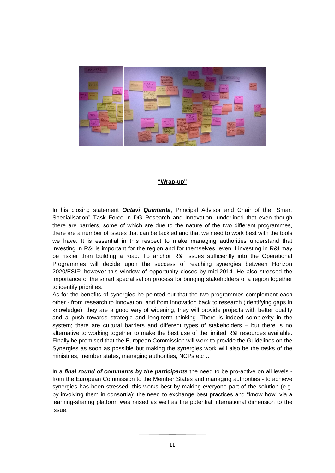

#### **"Wrap-up"**

In his closing statement *Octavi Quintanta*, Principal Advisor and Chair of the "Smart Specialisation" Task Force in DG Research and Innovation, underlined that even though there are barriers, some of which are due to the nature of the two different programmes, there are a number of issues that can be tackled and that we need to work best with the tools we have. It is essential in this respect to make managing authorities understand that investing in R&I is important for the region and for themselves, even if investing in R&I may be riskier than building a road. To anchor R&I issues sufficiently into the Operational Programmes will decide upon the success of reaching synergies between Horizon 2020/ESIF; however this window of opportunity closes by mid-2014. He also stressed the importance of the smart specialisation process for bringing stakeholders of a region together to identify priorities.

As for the benefits of synergies he pointed out that the two programmes complement each other - from research to innovation, and from innovation back to research (identifying gaps in knowledge); they are a good way of widening, they will provide projects with better quality and a push towards strategic and long-term thinking. There is indeed complexity in the system; there are cultural barriers and different types of stakeholders – but there is no alternative to working together to make the best use of the limited R&I resources available. Finally he promised that the European Commission will work to provide the Guidelines on the Synergies as soon as possible but making the synergies work will also be the tasks of the ministries, member states, managing authorities, NCPs etc…

In a *final round of comments by the participants* the need to be pro-active on all levels from the European Commission to the Member States and managing authorities - to achieve synergies has been stressed; this works best by making everyone part of the solution (e.g. by involving them in consortia); the need to exchange best practices and "know how" via a learning-sharing platform was raised as well as the potential international dimension to the issue.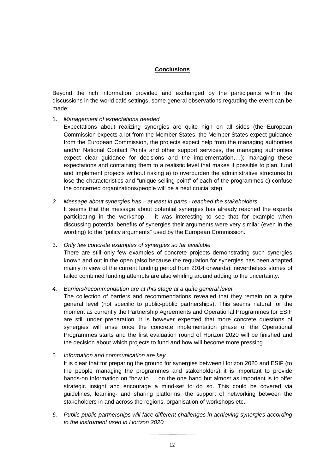# **Conclusions**

Beyond the rich information provided and exchanged by the participants within the discussions in the world café settings, some general observations regarding the event can be made:

- 1. *Management of expectations needed*
	- Expectations about realizing synergies are quite high on all sides (the European Commission expects a lot from the Member States, the Member States expect guidance from the European Commission, the projects expect help from the managing authorities and/or National Contact Points and other support services, the managing authorities expect clear guidance for decisions and the implementation,…); managing these expectations and containing them to a realistic level that makes it possible to plan, fund and implement projects without risking a) to overburden the administrative structures b) lose the characteristics and "unique selling point" of each of the programmes c) confuse the concerned organizations/people will be a next crucial step.
- *2. Message about synergies has at least in parts reached the stakeholders*  It seems that the message about potential synergies has already reached the experts participating in the workshop – it was interesting to see that for example when discussing potential benefits of synergies their arguments were very similar (even in the wording) to the "policy arguments" used by the European Commission.
- 3. *Only few concrete examples of synergies so far available* There are still only few examples of concrete projects demonstrating such synergies known and out in the open (also because the regulation for synergies has been adapted mainly in view of the current funding period from 2014 onwards); nevertheless stories of failed combined funding attempts are also whirling around adding to the uncertainty.
- *4. Barriers/recommendation are at this stage at a quite general level*

The collection of barriers and recommendations revealed that they remain on a quite general level (not specific to public-public partnerships). This seems natural for the moment as currently the Partnership Agreements and Operational Programmes for ESIF are still under preparation. It is however expected that more concrete questions of synergies will arise once the concrete implementation phase of the Operational Programmes starts and the first evaluation round of Horizon 2020 will be finished and the decision about which projects to fund and how will become more pressing.

5. *Information and communication are key*

It is clear that for preparing the ground for synergies between Horizon 2020 and ESIF (to the people managing the programmes and stakeholders) it is important to provide hands-on information on "how to…" on the one hand but almost as important is to offer strategic insight and encourage a mind-set to do so. This could be covered via guidelines, learning- and sharing platforms, the support of networking between the stakeholders in and across the regions, organisation of workshops etc.

*6. Public-public partnerships will face different challenges in achieving synergies according to the instrument used in Horizon 2020*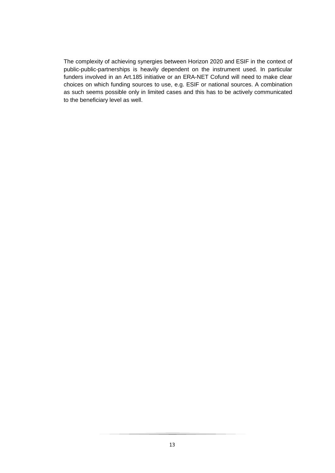The complexity of achieving synergies between Horizon 2020 and ESIF in the context of public-public-partnerships is heavily dependent on the instrument used. In particular funders involved in an Art.185 initiative or an ERA-NET Cofund will need to make clear choices on which funding sources to use, e.g. ESIF or national sources. A combination as such seems possible only in limited cases and this has to be actively communicated to the beneficiary level as well.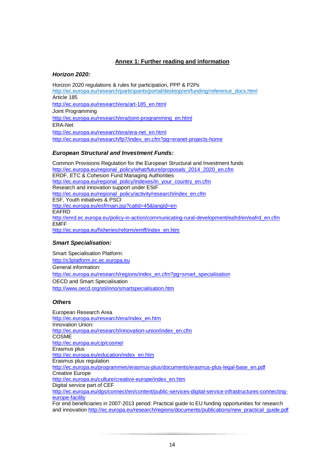# **Annex 1: Further reading and information**

## *Horizon 2020:*

Horizon 2020 regulations & rules for participation, PPP & P2Ps http://ec.europa.eu/research/participants/portal/desktop/en/funding/reference\_docs.html Article 185 http://ec.europa.eu/research/era/art-185\_en.html Joint Programming http://ec.europa.eu/research/era/joint-programming\_en.html ERA-Net http://ec.europa.eu/research/era/era-net\_en.html http://ec.europa.eu/research/fp7/index\_en.cfm?pg=eranet-projects-home

# *European Structural and Investment Funds:*

Common Provisions Regulation for the European Structural and Investment funds http://ec.europa.eu/regional\_policy/what/future/proposals\_2014\_2020\_en.cfm ERDF, ETC & Cohesion Fund Managing Authorities http://ec.europa.eu/regional\_policy/indexes/in\_your\_country\_en.cfm Research and innovation support under ESIF http://ec.europa.eu/regional\_policy/activity/research/index\_en.cfm ESF, Youth initiatives & PSCI http://ec.europa.eu/esf/main.jsp?catId=45&langId=en **EAFRD** http://enrd.ec.europa.eu/policy-in-action/communicating-rural-development/eafrd/en/eafrd\_en.cfm EMFF http://ec.europa.eu/fisheries/reform/emff/index\_en.htm

#### *Smart Specialisation:*

Smart Specialisation Platform: http://s3platform.jrc.ec.europa.eu General information: http://ec.europa.eu/research/regions/index\_en.cfm?pg=smart\_specialisation OECD and Smart Specialisation http://www.oecd.org/sti/inno/smartspecialisation.htm

#### *Others*

European Research Area http://ec.europa.eu/research/era/index\_en.htm Innovation Union: http://ec.europa.eu/research/innovation-union/index\_en.cfm **COSME** http://ec.europa.eu/cip/cosme/ Erasmus plus http://ec.europa.eu/education/index\_en.htm Erasmus plus regulation http://ec.europa.eu/programmes/erasmus-plus/documents/erasmus-plus-legal-base\_en.pdf Creative Europe http://ec.europa.eu/culture/creative-europe/index\_en.htm Digital service part of CEF http://ec.europa.eu/dgs/connect/en/content/public-services-digital-service-infrastructures-connectingeurope-facility For end beneficiaries in 2007-2013 period: Practical guide to EU funding opportunities for research and innovation http://ec.europa.eu/research/regions/documents/publications/new\_practical\_quide.pdf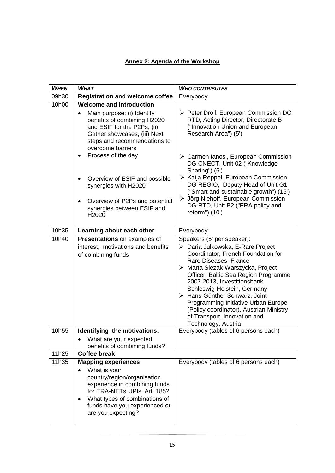# **Annex 2: Agenda of the Workshop**

| <b>WHEN</b> | <b>WHAT</b>                                                                                                                                                                                                                                                   | <b>WHO CONTRIBUTES</b>                                                                                                                                                                                                                                                                                                                                                                                                                              |
|-------------|---------------------------------------------------------------------------------------------------------------------------------------------------------------------------------------------------------------------------------------------------------------|-----------------------------------------------------------------------------------------------------------------------------------------------------------------------------------------------------------------------------------------------------------------------------------------------------------------------------------------------------------------------------------------------------------------------------------------------------|
| 09h30       | <b>Registration and welcome coffee</b>                                                                                                                                                                                                                        | Everybody                                                                                                                                                                                                                                                                                                                                                                                                                                           |
| 10h00       | <b>Welcome and introduction</b><br>Main purpose: (i) Identify<br>$\bullet$<br>benefits of combining H2020<br>and ESIF for the P2Ps, (ii)<br>Gather showcases, (iii) Next<br>steps and recommendations to<br>overcome barriers                                 | > Peter Dröll, European Commission DG<br>RTD, Acting Director, Directorate B<br>("Innovation Union and European<br>Research Area") (5')                                                                                                                                                                                                                                                                                                             |
|             | Process of the day<br>Overview of ESIF and possible<br>$\bullet$<br>synergies with H2020<br>Overview of P2Ps and potential<br>$\bullet$<br>synergies between ESIF and<br>H2020                                                                                | > Carmen Ianosi, European Commission<br>DG CNECT, Unit 02 ("Knowledge<br>Sharing") (5')<br>≻ Katja Reppel, European Commission<br>DG REGIO, Deputy Head of Unit G1<br>("Smart and sustainable growth") (15')<br>> Jörg Niehoff, European Commission<br>DG RTD, Unit B2 ("ERA policy and<br>reform") (10')                                                                                                                                           |
| 10h35       | Learning about each other                                                                                                                                                                                                                                     | Everybody                                                                                                                                                                                                                                                                                                                                                                                                                                           |
| 10h40       | Presentations on examples of<br>interest, motivations and benefits<br>of combining funds                                                                                                                                                                      | Speakers (5' per speaker):<br>> Daria Julkowska, E-Rare Project<br>Coordinator, French Foundation for<br>Rare Diseases, France<br>> Marta Slezak-Warszycka, Project<br>Officer, Baltic Sea Region Programme<br>2007-2013, Investitionsbank<br>Schleswig-Holstein, Germany<br>> Hans-Günther Schwarz, Joint<br>Programming Initiative Urban Europe<br>(Policy coordinator), Austrian Ministry<br>of Transport, Innovation and<br>Technology, Austria |
| 10h55       | Identifying the motivations:<br>What are your expected<br>benefits of combining funds?                                                                                                                                                                        | Everybody (tables of 6 persons each)                                                                                                                                                                                                                                                                                                                                                                                                                |
| 11h25       | <b>Coffee break</b>                                                                                                                                                                                                                                           |                                                                                                                                                                                                                                                                                                                                                                                                                                                     |
| 11h35       | <b>Mapping experiences</b><br>What is your<br>$\bullet$<br>country/region/organisation<br>experience in combining funds<br>for ERA-NETs, JPIs, Art. 185?<br>What types of combinations of<br>$\bullet$<br>funds have you experienced or<br>are you expecting? | Everybody (tables of 6 persons each)                                                                                                                                                                                                                                                                                                                                                                                                                |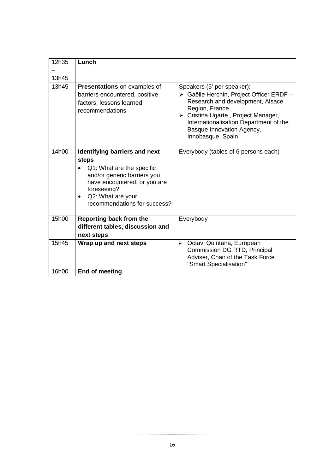| 12h35 | Lunch                                                                                                                                                                                                  |                                                                                                                                                                                                                                                                 |
|-------|--------------------------------------------------------------------------------------------------------------------------------------------------------------------------------------------------------|-----------------------------------------------------------------------------------------------------------------------------------------------------------------------------------------------------------------------------------------------------------------|
|       |                                                                                                                                                                                                        |                                                                                                                                                                                                                                                                 |
| 13h45 |                                                                                                                                                                                                        |                                                                                                                                                                                                                                                                 |
| 13h45 | Presentations on examples of<br>barriers encountered, positive<br>factors, lessons learned,<br>recommendations                                                                                         | Speakers (5' per speaker):<br>> Gaëlle Herchin, Project Officer ERDF -<br>Research and development, Alsace<br>Region, France<br>> Cristina Ugarte, Project Manager,<br>Internationalisation Department of the<br>Basque Innovation Agency,<br>Innobasque, Spain |
| 14h00 | Identifying barriers and next<br>steps<br>Q1: What are the specific<br>and/or generic barriers you<br>have encountered, or you are<br>foreseeing?<br>Q2: What are your<br>recommendations for success? | Everybody (tables of 6 persons each)                                                                                                                                                                                                                            |
| 15h00 | Reporting back from the<br>different tables, discussion and<br>next steps                                                                                                                              | Everybody                                                                                                                                                                                                                                                       |
| 15h45 | Wrap up and next steps                                                                                                                                                                                 | Octavi Quintana, European<br>➤<br>Commission DG RTD, Principal<br>Adviser, Chair of the Task Force<br>"Smart Specialisation"                                                                                                                                    |
| 16h00 | End of meeting                                                                                                                                                                                         |                                                                                                                                                                                                                                                                 |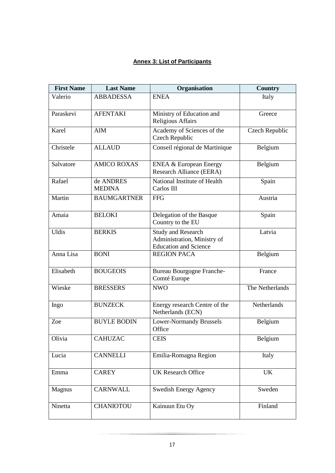# **Annex 3: List of Participants**

| <b>First Name</b> | <b>Last Name</b>           | Organisation                                                                             | <b>Country</b>  |
|-------------------|----------------------------|------------------------------------------------------------------------------------------|-----------------|
| Valerio           | <b>ABBADESSA</b>           | <b>ENEA</b>                                                                              | Italy           |
| Paraskevi         | <b>AFENTAKI</b>            | Ministry of Education and<br><b>Religious Affairs</b>                                    | Greece          |
| Karel             | <b>AIM</b>                 | Academy of Sciences of the<br>Czech Republic                                             | Czech Republic  |
| Christele         | <b>ALLAUD</b>              | Conseil régional de Martinique                                                           | Belgium         |
| Salvatore         | <b>AMICO ROXAS</b>         | <b>ENEA &amp; European Energy</b><br>Research Alliance (EERA)                            | Belgium         |
| Rafael            | de ANDRES<br><b>MEDINA</b> | National Institute of Health<br>Carlos III                                               | Spain           |
| Martin            | <b>BAUMGARTNER</b>         | <b>FFG</b>                                                                               | Austria         |
| Amaia             | <b>BELOKI</b>              | Delegation of the Basque<br>Country to the EU                                            | Spain           |
| <b>Uldis</b>      | <b>BERKIS</b>              | <b>Study and Research</b><br>Administration, Ministry of<br><b>Education and Science</b> | Latvia          |
| Anna Lisa         | <b>BONI</b>                | <b>REGION PACA</b>                                                                       | Belgium         |
| Elisabeth         | <b>BOUGEOIS</b>            | <b>Bureau Bourgogne Franche-</b><br>Comté Europe                                         | France          |
| Wieske            | <b>BRESSERS</b>            | <b>NWO</b>                                                                               | The Netherlands |
| Ingo              | <b>BUNZECK</b>             | Energy research Centre of the<br>Netherlands (ECN)                                       | Netherlands     |
| Zoe               | <b>BUYLE BODIN</b>         | <b>Lower-Normandy Brussels</b><br>Office                                                 | Belgium         |
| Olivia            | <b>CAHUZAC</b>             | <b>CEIS</b>                                                                              | Belgium         |
| Lucia             | <b>CANNELLI</b>            | Emilia-Romagna Region                                                                    | Italy           |
| Emma              | <b>CAREY</b>               | <b>UK Research Office</b>                                                                | UK              |
| Magnus            | <b>CARNWALL</b>            | <b>Swedish Energy Agency</b>                                                             | Sweden          |
| Ninetta           | <b>CHANIOTOU</b>           | Kainuun Etu Oy                                                                           | Finland         |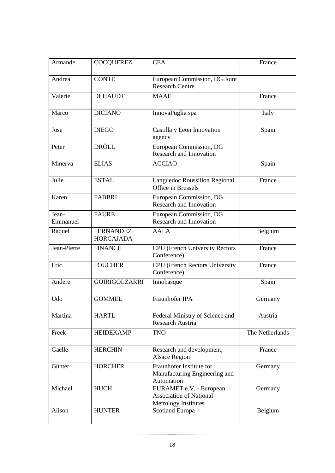| Armande           | <b>COCQUEREZ</b>                     | <b>CEA</b>                                                                        | France          |
|-------------------|--------------------------------------|-----------------------------------------------------------------------------------|-----------------|
| Andrea            | <b>CONTE</b>                         | European Commission, DG Joint<br><b>Research Centre</b>                           |                 |
| Valérie           | <b>DEHAUDT</b>                       | <b>MAAF</b>                                                                       | France          |
| Marco             | <b>DICIANO</b>                       | InnovaPuglia spa                                                                  | Italy           |
| Jose              | <b>DIEGO</b>                         | Castilla y Leon Innovation<br>agency                                              | Spain           |
| Peter             | <b>DRÖLL</b>                         | European Commission, DG<br>Research and Innovation                                |                 |
| Minerva           | <b>ELIAS</b>                         | <b>ACCIAO</b>                                                                     | Spain           |
| Julie             | <b>ESTAL</b>                         | Languedoc Roussillon Regional<br>Office in Brussels                               | France          |
| Karen             | <b>FABBRI</b>                        | European Commission, DG<br>Research and Innovation                                |                 |
| Jean-<br>Emmanuel | <b>FAURE</b>                         | European Commission, DG<br><b>Research and Innovation</b>                         |                 |
| Raquel            | <b>FERNANDEZ</b><br><b>HORCAJADA</b> | <b>AALA</b>                                                                       | Belgium         |
| Jean-Pierre       | <b>FINANCE</b>                       | <b>CPU</b> (French University Rectors<br>Conference)                              | France          |
| Eric              | <b>FOUCHER</b>                       | <b>CPU</b> (French Rectors University<br>Conference)                              | France          |
| Andere            | <b>GOIRIGOLZARRI</b>                 | Innobasque                                                                        | Spain           |
| Udo               | <b>GOMMEL</b>                        | Fraunhofer IPA                                                                    | Germany         |
| Martina           | <b>HARTL</b>                         | Federal Ministry of Science and<br>Research Austria                               | Austria         |
| Freek             | <b>HEIDEKAMP</b>                     | <b>TNO</b>                                                                        | The Netherlands |
| Gaëlle            | <b>HERCHIN</b>                       | Research and development,<br><b>Alsace Region</b>                                 | France          |
| Günter            | <b>HORCHER</b>                       | Fraunhofer Institute for<br>Manufacturing Engineering and<br>Automation           | Germany         |
| Michael           | <b>HUCH</b>                          | EURAMET e.V. - European<br><b>Association of National</b><br>Metrology Institutes | Germany         |
| Alison            | <b>HUNTER</b>                        | Scotland Europa                                                                   | Belgium         |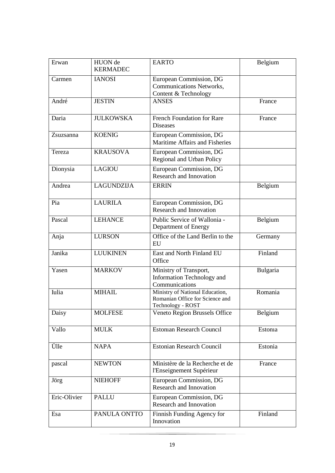| Erwan        | HUON de<br><b>KERMADEC</b> | <b>EARTO</b>                                                                            | Belgium        |
|--------------|----------------------------|-----------------------------------------------------------------------------------------|----------------|
| Carmen       | <b>IANOSI</b>              | European Commission, DG<br><b>Communications Networks,</b><br>Content & Technology      |                |
| André        | <b>JESTIN</b>              | <b>ANSES</b>                                                                            | France         |
| Daria        | <b>JULKOWSKA</b>           | <b>French Foundation for Rare</b><br><b>Diseases</b>                                    | France         |
| Zsuzsanna    | <b>KOENIG</b>              | European Commission, DG<br>Maritime Affairs and Fisheries                               |                |
| Tereza       | <b>KRAUSOVA</b>            | European Commission, DG<br>Regional and Urban Policy                                    |                |
| Dionysia     | <b>LAGIOU</b>              | European Commission, DG<br>Research and Innovation                                      |                |
| Andrea       | <b>LAGUNDZIJA</b>          | <b>ERRIN</b>                                                                            | Belgium        |
| Pia          | <b>LAURILA</b>             | European Commission, DG<br>Research and Innovation                                      |                |
| Pascal       | <b>LEHANCE</b>             | Public Service of Wallonia -<br>Department of Energy                                    | Belgium        |
| Anja         | <b>LURSON</b>              | Office of the Land Berlin to the<br>EU                                                  | Germany        |
| Janika       | <b>LUUKINEN</b>            | East and North Finland EU<br>Office                                                     | Finland        |
| Yasen        | <b>MARKOV</b>              | Ministry of Transport,<br>Information Technology and<br>Communications                  | Bulgaria       |
| Iulia        | <b>MIHAIL</b>              | Ministry of National Education,<br>Romanian Office for Science and<br>Technology - ROST | Romania        |
| Daisy        | <b>MOLFESE</b>             | Veneto Region Brussels Office                                                           | Belgium        |
| Vallo        | <b>MULK</b>                | <b>Estonian Research Council</b>                                                        | <b>Estonia</b> |
| Ülle         | <b>NAPA</b>                | <b>Estonian Research Council</b>                                                        | Estonia        |
| pascal       | <b>NEWTON</b>              | Ministère de la Recherche et de<br>l'Enseignement Supérieur                             | France         |
| Jörg         | <b>NIEHOFF</b>             | European Commission, DG<br>Research and Innovation                                      |                |
| Eric-Olivier | <b>PALLU</b>               | European Commission, DG<br>Research and Innovation                                      |                |
| Esa          | PANULA ONTTO               | Finnish Funding Agency for<br>Innovation                                                | Finland        |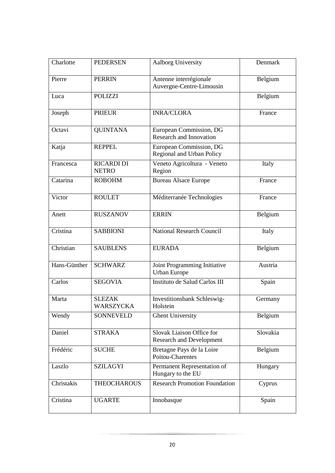| Charlotte    | <b>PEDERSEN</b>                   | Aalborg University                                           | Denmark  |
|--------------|-----------------------------------|--------------------------------------------------------------|----------|
| Pierre       | <b>PERRIN</b>                     | Antenne interrégionale<br>Auvergne-Centre-Limousin           | Belgium  |
| Luca         | <b>POLIZZI</b>                    |                                                              | Belgium  |
| Joseph       | <b>PRIEUR</b>                     | <b>INRA/CLORA</b>                                            | France   |
| Octavi       | <b>QUINTANA</b>                   | European Commission, DG<br><b>Research and Innovation</b>    |          |
| Katja        | <b>REPPEL</b>                     | European Commission, DG<br>Regional and Urban Policy         |          |
| Francesca    | <b>RICARDI DI</b><br><b>NETRO</b> | Veneto Agricoltura - Veneto<br>Region                        | Italy    |
| Catarina     | <b>ROBOHM</b>                     | <b>Bureau Alsace Europe</b>                                  | France   |
| Victor       | <b>ROULET</b>                     | Méditerranée Technologies                                    | France   |
| Anett        | <b>RUSZANOV</b>                   | <b>ERRIN</b>                                                 | Belgium  |
| Cristina     | <b>SABBIONI</b>                   | <b>National Research Council</b>                             | Italy    |
| Christian    | <b>SAUBLENS</b>                   | <b>EURADA</b>                                                | Belgium  |
| Hans-Günther | <b>SCHWARZ</b>                    | Joint Programming Initiative<br><b>Urban Europe</b>          | Austria  |
| Carlos       | <b>SEGOVIA</b>                    | Instituto de Salud Carlos III                                | Spain    |
| Marta        | <b>SLEZAK</b><br>WARSZYCKA        | Investitionsbank Schleswig-<br>Holstein                      | Germany  |
| Wendy        | <b>SONNEVELD</b>                  | <b>Ghent University</b>                                      | Belgium  |
| Daniel       | <b>STRAKA</b>                     | Slovak Liaison Office for<br><b>Research and Development</b> | Slovakia |
| Frédéric     | <b>SUCHE</b>                      | Bretagne Pays de la Loire<br>Poitou-Charentes                | Belgium  |
| Laszlo       | <b>SZILAGYI</b>                   | Permanent Representation of<br>Hungary to the EU             | Hungary  |
| Christakis   | <b>THEOCHAROUS</b>                | <b>Research Promotion Foundation</b>                         | Cyprus   |
| Cristina     | <b>UGARTE</b>                     | Innobasque                                                   | Spain    |